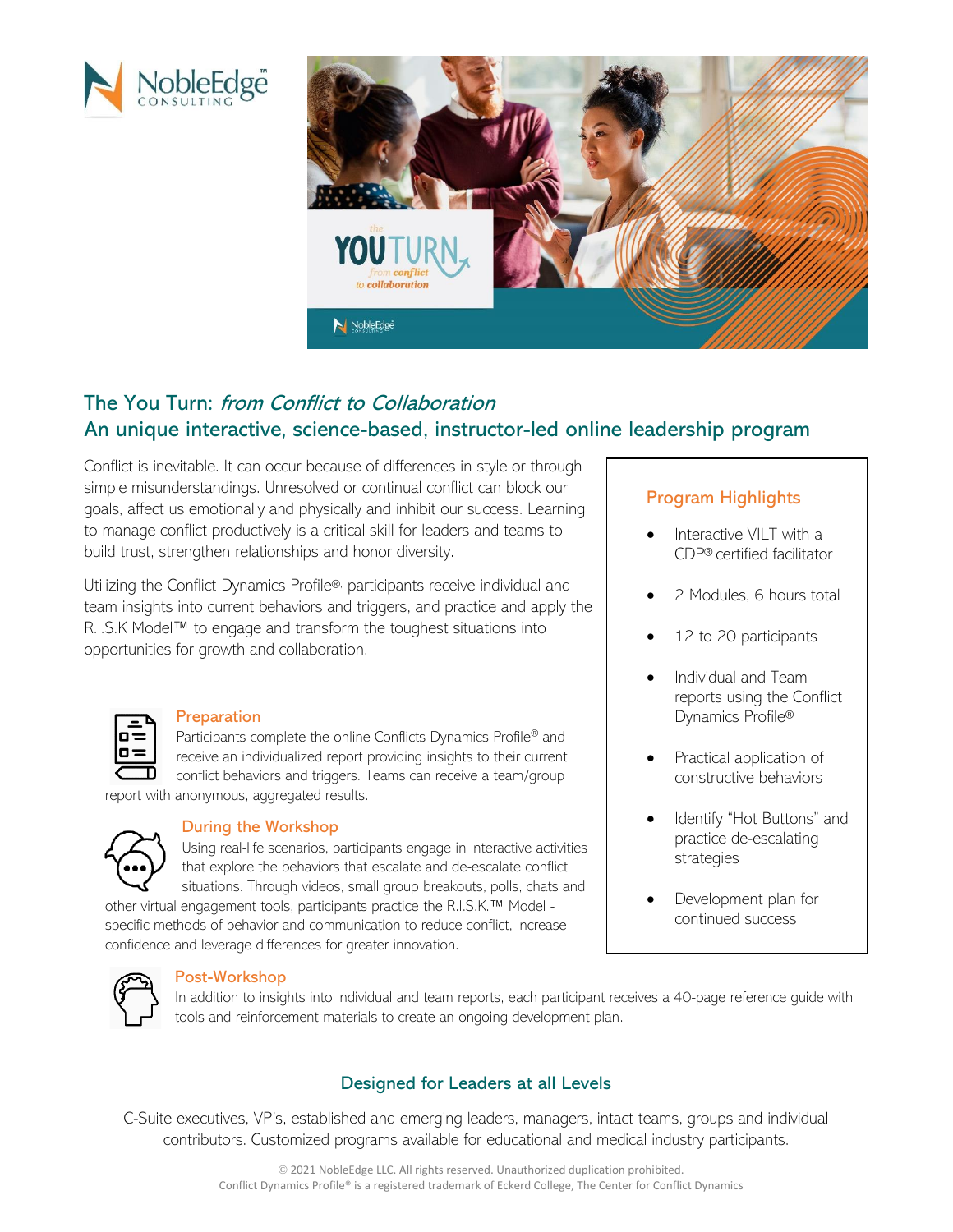



# The You Turn: from Conflict to Collaboration An unique interactive, science-based, instructor-led online leadership program

Conflict is inevitable. It can occur because of differences in style or through simple misunderstandings. Unresolved or continual conflict can block our goals, affect us emotionally and physically and inhibit our success. Learning to manage conflict productively is a critical skill for leaders and teams to build trust, strengthen relationships and honor diversity.

Utilizing the Conflict Dynamics Profile®, participants receive individual and team insights into current behaviors and triggers, and practice and apply the R.I.S.K Model™ to engage and transform the toughest situations into opportunities for growth and collaboration.



#### Preparation

Participants complete the online Conflicts Dynamics Profile® and receive an individualized report providing insights to their current conflict behaviors and triggers. Teams can receive a team/group

report with anonymous, aggregated results.



#### During the Workshop

Using real-life scenarios, participants engage in interactive activities that explore the behaviors that escalate and de-escalate conflict situations. Through videos, small group breakouts, polls, chats and

other virtual engagement tools, participants practice the R.I.S.K.™ Model specific methods of behavior and communication to reduce conflict, increase confidence and leverage differences for greater innovation.



#### Post-Workshop

In addition to insights into individual and team reports, each participant receives a 40-page reference guide with tools and reinforcement materials to create an ongoing development plan.

## Designed for Leaders at all Levels

C-Suite executives, VP's, established and emerging leaders, managers, intact teams, groups and individual contributors. Customized programs available for educational and medical industry participants.

## Program Highlights

- Interactive VILT with a CDP® certified facilitator
- 2 Modules, 6 hours total
- 12 to 20 participants
- Individual and Team reports using the Conflict Dynamics Profile®
- Practical application of constructive behaviors
- Identify "Hot Buttons" and practice de-escalating strategies
- Development plan for continued success